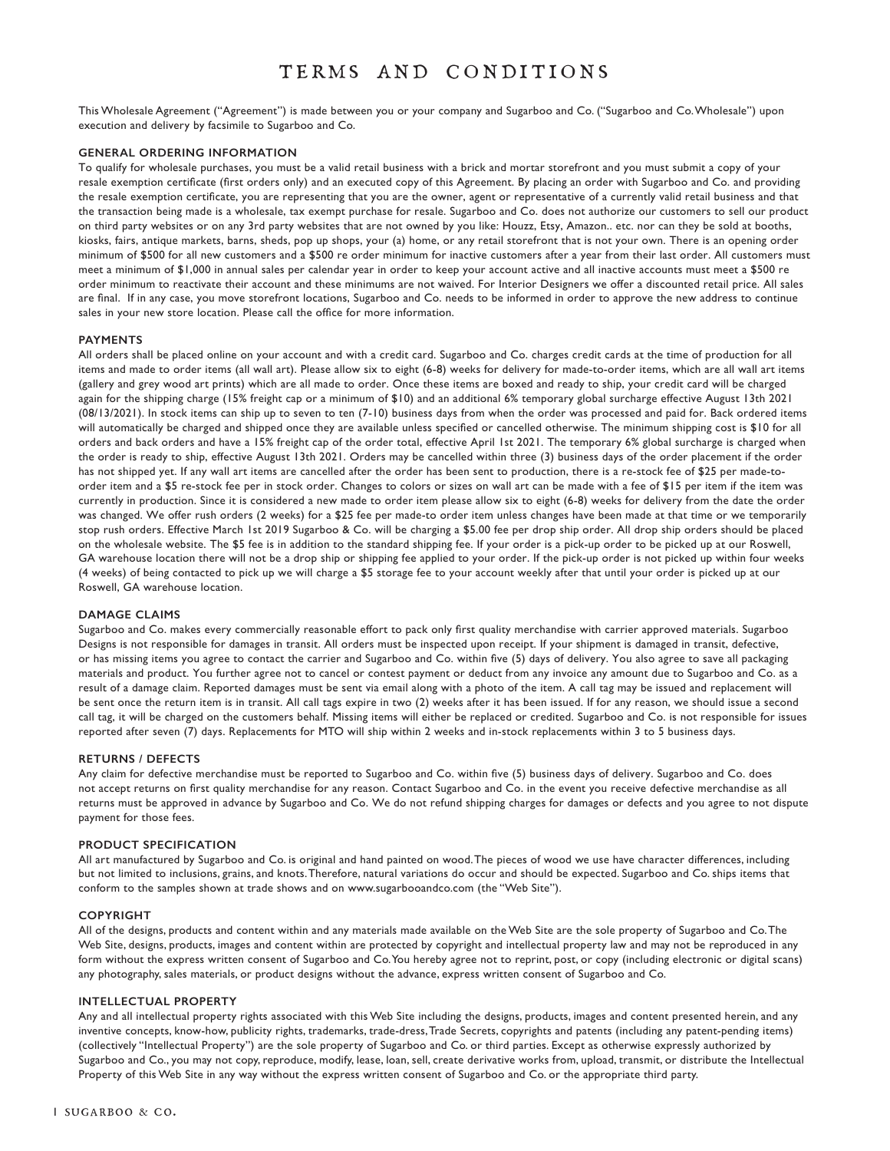# terms and conditions

This Wholesale Agreement ("Agreement") is made between you or your company and Sugarboo and Co. ("Sugarboo and Co. Wholesale") upon execution and delivery by facsimile to Sugarboo and Co.

## **GENERAL ORDERING INFORMATION**

To qualify for wholesale purchases, you must be a valid retail business with a brick and mortar storefront and you must submit a copy of your resale exemption certificate (first orders only) and an executed copy of this Agreement. By placing an order with Sugarboo and Co. and providing the resale exemption certificate, you are representing that you are the owner, agent or representative of a currently valid retail business and that the transaction being made is a wholesale, tax exempt purchase for resale. Sugarboo and Co. does not authorize our customers to sell our product on third party websites or on any 3rd party websites that are not owned by you like: Houzz, Etsy, Amazon.. etc. nor can they be sold at booths, kiosks, fairs, antique markets, barns, sheds, pop up shops, your (a) home, or any retail storefront that is not your own. There is an opening order minimum of \$500 for all new customers and a \$500 re order minimum for inactive customers after a year from their last order. All customers must meet a minimum of \$1,000 in annual sales per calendar year in order to keep your account active and all inactive accounts must meet a \$500 re order minimum to reactivate their account and these minimums are not waived. For Interior Designers we offer a discounted retail price. All sales are final. If in any case, you move storefront locations, Sugarboo and Co. needs to be informed in order to approve the new address to continue sales in your new store location. Please call the office for more information.

#### **PAYMENTS**

All orders shall be placed online on your account and with a credit card. Sugarboo and Co. charges credit cards at the time of production for all items and made to order items (all wall art). Please allow six to eight (6-8) weeks for delivery for made-to-order items, which are all wall art items (gallery and grey wood art prints) which are all made to order. Once these items are boxed and ready to ship, your credit card will be charged again for the shipping charge (15% freight cap or a minimum of \$10) and an additional 6% temporary global surcharge effective August 13th 2021 (08/13/2021). In stock items can ship up to seven to ten (7-10) business days from when the order was processed and paid for. Back ordered items will automatically be charged and shipped once they are available unless specified or cancelled otherwise. The minimum shipping cost is \$10 for all orders and back orders and have a 15% freight cap of the order total, effective April 1st 2021. The temporary 6% global surcharge is charged when the order is ready to ship, effective August 13th 2021. Orders may be cancelled within three (3) business days of the order placement if the order has not shipped yet. If any wall art items are cancelled after the order has been sent to production, there is a re-stock fee of \$25 per made-toorder item and a \$5 re-stock fee per in stock order. Changes to colors or sizes on wall art can be made with a fee of \$15 per item if the item was currently in production. Since it is considered a new made to order item please allow six to eight (6-8) weeks for delivery from the date the order was changed. We offer rush orders (2 weeks) for a \$25 fee per made-to order item unless changes have been made at that time or we temporarily stop rush orders. Effective March 1st 2019 Sugarboo & Co. will be charging a \$5.00 fee per drop ship order. All drop ship orders should be placed on the wholesale website. The \$5 fee is in addition to the standard shipping fee. If your order is a pick-up order to be picked up at our Roswell, GA warehouse location there will not be a drop ship or shipping fee applied to your order. If the pick-up order is not picked up within four weeks (4 weeks) of being contacted to pick up we will charge a \$5 storage fee to your account weekly after that until your order is picked up at our Roswell, GA warehouse location.

## **DAMAGE CLAIMS**

Sugarboo and Co. makes every commercially reasonable effort to pack only first quality merchandise with carrier approved materials. Sugarboo Designs is not responsible for damages in transit. All orders must be inspected upon receipt. If your shipment is damaged in transit, defective, or has missing items you agree to contact the carrier and Sugarboo and Co. within five (5) days of delivery. You also agree to save all packaging materials and product. You further agree not to cancel or contest payment or deduct from any invoice any amount due to Sugarboo and Co. as a result of a damage claim. Reported damages must be sent via email along with a photo of the item. A call tag may be issued and replacement will be sent once the return item is in transit. All call tags expire in two (2) weeks after it has been issued. If for any reason, we should issue a second call tag, it will be charged on the customers behalf. Missing items will either be replaced or credited. Sugarboo and Co. is not responsible for issues reported after seven (7) days. Replacements for MTO will ship within 2 weeks and in-stock replacements within 3 to 5 business days.

#### **RETURNS / DEFECTS**

Any claim for defective merchandise must be reported to Sugarboo and Co. within five (5) business days of delivery. Sugarboo and Co. does not accept returns on first quality merchandise for any reason. Contact Sugarboo and Co. in the event you receive defective merchandise as all returns must be approved in advance by Sugarboo and Co. We do not refund shipping charges for damages or defects and you agree to not dispute payment for those fees.

#### **PRODUCT SPECIFICATION**

All art manufactured by Sugarboo and Co. is original and hand painted on wood. The pieces of wood we use have character differences, including but not limited to inclusions, grains, and knots. Therefore, natural variations do occur and should be expected. Sugarboo and Co. ships items that conform to the samples shown at trade shows and on www.sugarbooandco.com (the "Web Site").

#### **COPYRIGHT**

All of the designs, products and content within and any materials made available on the Web Site are the sole property of Sugarboo and Co. The Web Site, designs, products, images and content within are protected by copyright and intellectual property law and may not be reproduced in any form without the express written consent of Sugarboo and Co. You hereby agree not to reprint, post, or copy (including electronic or digital scans) any photography, sales materials, or product designs without the advance, express written consent of Sugarboo and Co.

#### **INTELLECTUAL PROPERTY**

Any and all intellectual property rights associated with this Web Site including the designs, products, images and content presented herein, and any inventive concepts, know-how, publicity rights, trademarks, trade-dress, Trade Secrets, copyrights and patents (including any patent-pending items) (collectively "Intellectual Property") are the sole property of Sugarboo and Co. or third parties. Except as otherwise expressly authorized by Sugarboo and Co., you may not copy, reproduce, modify, lease, loan, sell, create derivative works from, upload, transmit, or distribute the Intellectual Property of this Web Site in any way without the express written consent of Sugarboo and Co. or the appropriate third party.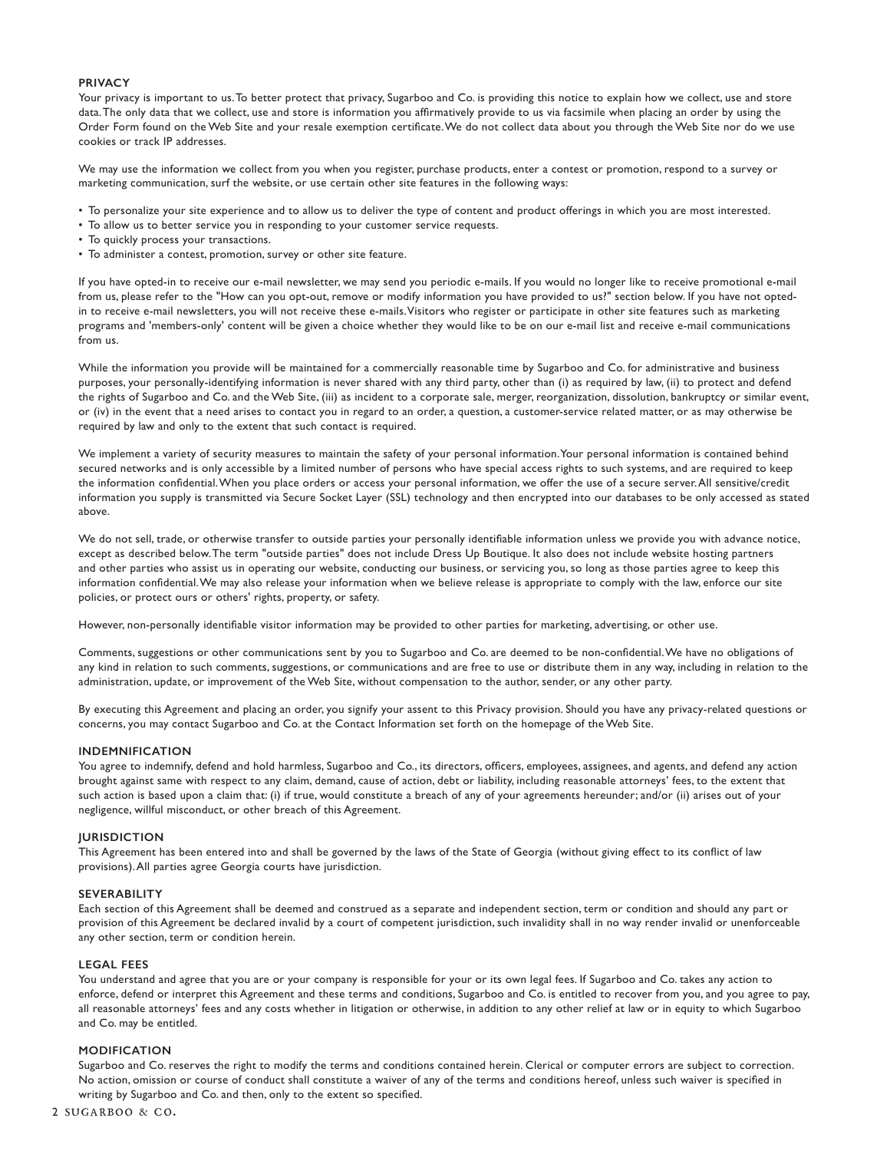## **PRIVACY**

Your privacy is important to us. To better protect that privacy, Sugarboo and Co. is providing this notice to explain how we collect, use and store data. The only data that we collect, use and store is information you affirmatively provide to us via facsimile when placing an order by using the Order Form found on the Web Site and your resale exemption certificate. We do not collect data about you through the Web Site nor do we use cookies or track IP addresses.

We may use the information we collect from you when you register, purchase products, enter a contest or promotion, respond to a survey or marketing communication, surf the website, or use certain other site features in the following ways:

- To personalize your site experience and to allow us to deliver the type of content and product offerings in which you are most interested.
- To allow us to better service you in responding to your customer service requests.
- To quickly process your transactions.
- To administer a contest, promotion, survey or other site feature.

If you have opted-in to receive our e-mail newsletter, we may send you periodic e-mails. If you would no longer like to receive promotional e-mail from us, please refer to the "How can you opt-out, remove or modify information you have provided to us?" section below. If you have not optedin to receive e-mail newsletters, you will not receive these e-mails. Visitors who register or participate in other site features such as marketing programs and 'members-only' content will be given a choice whether they would like to be on our e-mail list and receive e-mail communications from us.

While the information you provide will be maintained for a commercially reasonable time by Sugarboo and Co. for administrative and business purposes, your personally-identifying information is never shared with any third party, other than (i) as required by law, (ii) to protect and defend the rights of Sugarboo and Co. and the Web Site, (iii) as incident to a corporate sale, merger, reorganization, dissolution, bankruptcy or similar event, or (iv) in the event that a need arises to contact you in regard to an order, a question, a customer-service related matter, or as may otherwise be required by law and only to the extent that such contact is required.

We implement a variety of security measures to maintain the safety of your personal information. Your personal information is contained behind secured networks and is only accessible by a limited number of persons who have special access rights to such systems, and are required to keep the information confidential. When you place orders or access your personal information, we offer the use of a secure server. All sensitive/credit information you supply is transmitted via Secure Socket Layer (SSL) technology and then encrypted into our databases to be only accessed as stated above.

We do not sell, trade, or otherwise transfer to outside parties your personally identifiable information unless we provide you with advance notice, except as described below. The term "outside parties" does not include Dress Up Boutique. It also does not include website hosting partners and other parties who assist us in operating our website, conducting our business, or servicing you, so long as those parties agree to keep this information confidential. We may also release your information when we believe release is appropriate to comply with the law, enforce our site policies, or protect ours or others' rights, property, or safety.

However, non-personally identifiable visitor information may be provided to other parties for marketing, advertising, or other use.

Comments, suggestions or other communications sent by you to Sugarboo and Co. are deemed to be non-confidential. We have no obligations of any kind in relation to such comments, suggestions, or communications and are free to use or distribute them in any way, including in relation to the administration, update, or improvement of the Web Site, without compensation to the author, sender, or any other party.

By executing this Agreement and placing an order, you signify your assent to this Privacy provision. Should you have any privacy-related questions or concerns, you may contact Sugarboo and Co. at the Contact Information set forth on the homepage of the Web Site.

#### **INDEMNIFICATION**

You agree to indemnify, defend and hold harmless, Sugarboo and Co., its directors, officers, employees, assignees, and agents, and defend any action brought against same with respect to any claim, demand, cause of action, debt or liability, including reasonable attorneys' fees, to the extent that such action is based upon a claim that: (i) if true, would constitute a breach of any of your agreements hereunder; and/or (ii) arises out of your negligence, willful misconduct, or other breach of this Agreement.

#### **JURISDICTION**

This Agreement has been entered into and shall be governed by the laws of the State of Georgia (without giving effect to its conflict of law provisions). All parties agree Georgia courts have jurisdiction.

## **SEVERABILITY**

Each section of this Agreement shall be deemed and construed as a separate and independent section, term or condition and should any part or provision of this Agreement be declared invalid by a court of competent jurisdiction, such invalidity shall in no way render invalid or unenforceable any other section, term or condition herein.

#### **LEGAL FEES**

You understand and agree that you are or your company is responsible for your or its own legal fees. If Sugarboo and Co. takes any action to enforce, defend or interpret this Agreement and these terms and conditions, Sugarboo and Co. is entitled to recover from you, and you agree to pay, all reasonable attorneys' fees and any costs whether in litigation or otherwise, in addition to any other relief at law or in equity to which Sugarboo and Co. may be entitled.

#### **MODIFICATION**

Sugarboo and Co. reserves the right to modify the terms and conditions contained herein. Clerical or computer errors are subject to correction. No action, omission or course of conduct shall constitute a waiver of any of the terms and conditions hereof, unless such waiver is specified in writing by Sugarboo and Co. and then, only to the extent so specified.